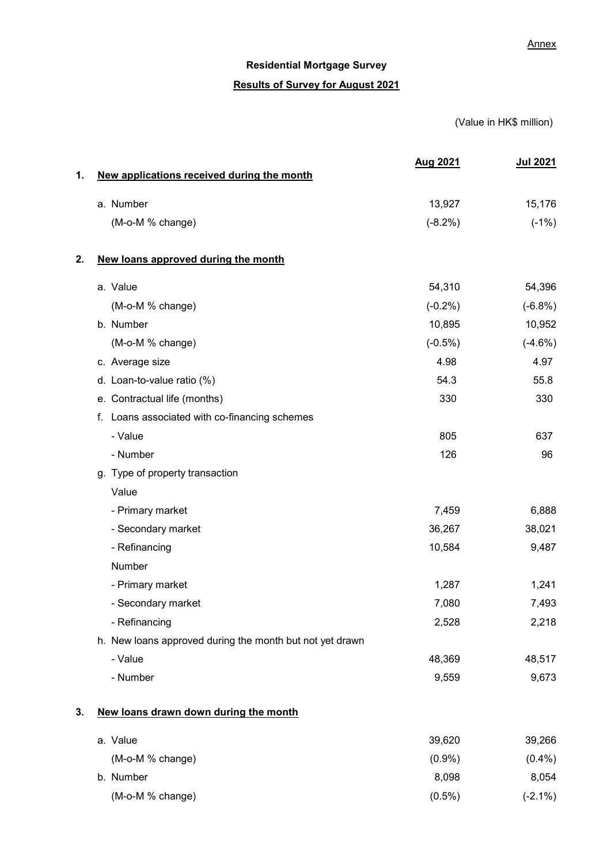# Residential Mortgage Survey Results of Survey for August 2021

### (Value in HK\$ million)

|    |                                                          | <b>Aug 2021</b> | <b>Jul 2021</b> |
|----|----------------------------------------------------------|-----------------|-----------------|
| 1. | New applications received during the month               |                 |                 |
|    | a. Number                                                | 13,927          | 15,176          |
|    | (M-o-M % change)                                         | $(-8.2%)$       | $(-1%)$         |
| 2. | New loans approved during the month                      |                 |                 |
|    | a. Value                                                 | 54,310          | 54,396          |
|    | (M-o-M % change)                                         | $(-0.2\%)$      | $(-6.8%)$       |
|    | b. Number                                                | 10,895          | 10,952          |
|    | (M-o-M % change)                                         | $(-0.5%)$       | $(-4.6%)$       |
|    | c. Average size                                          | 4.98            | 4.97            |
|    | d. Loan-to-value ratio (%)                               | 54.3            | 55.8            |
|    | e. Contractual life (months)                             | 330             | 330             |
|    | f. Loans associated with co-financing schemes            |                 |                 |
|    | - Value                                                  | 805             | 637             |
|    | - Number                                                 | 126             | 96              |
|    | g. Type of property transaction                          |                 |                 |
|    | Value                                                    |                 |                 |
|    | - Primary market                                         | 7,459           | 6,888           |
|    | - Secondary market                                       | 36,267          | 38,021          |
|    | - Refinancing                                            | 10,584          | 9,487           |
|    | Number                                                   |                 |                 |
|    | - Primary market                                         | 1,287           | 1,241           |
|    | - Secondary market                                       | 7,080           | 7,493           |
|    | - Refinancing                                            | 2,528           | 2,218           |
|    | h. New loans approved during the month but not yet drawn |                 |                 |
|    | - Value                                                  | 48,369          | 48,517          |
|    | - Number                                                 | 9,559           | 9,673           |
| 3. | New loans drawn down during the month                    |                 |                 |
|    | a. Value                                                 | 39,620          | 39,266          |
|    | (M-o-M % change)                                         | (0.9%           | $(0.4\%)$       |
|    | b. Number                                                | 8,098           | 8,054           |
|    | (M-o-M % change)                                         | $(0.5\%)$       | $(-2.1\%)$      |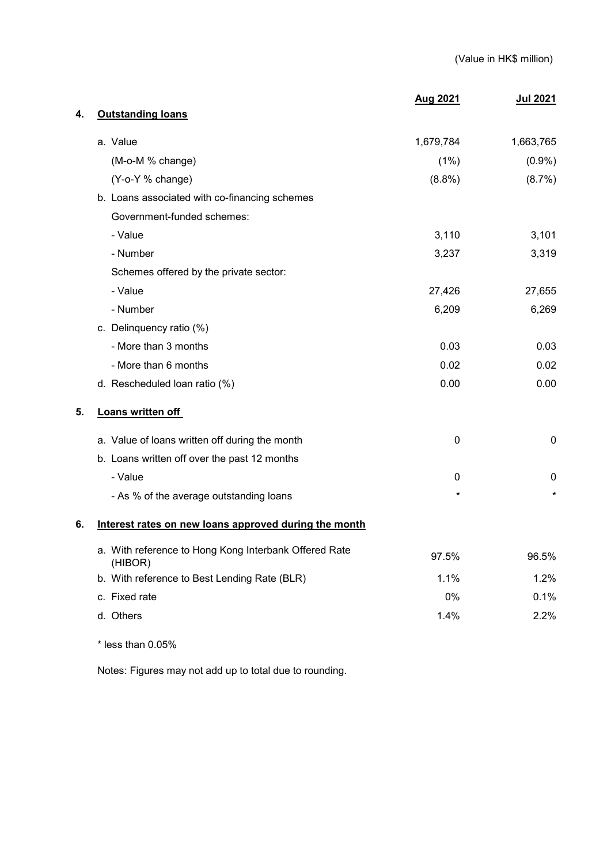|    |                                                                  | <b>Aug 2021</b> | <u>Jul 2021</u> |
|----|------------------------------------------------------------------|-----------------|-----------------|
| 4. | <b>Outstanding loans</b>                                         |                 |                 |
|    | a. Value                                                         | 1,679,784       | 1,663,765       |
|    | (M-o-M % change)                                                 | (1%)            | $(0.9\%)$       |
|    | (Y-o-Y % change)                                                 | $(8.8\%)$       | (8.7%)          |
|    | b. Loans associated with co-financing schemes                    |                 |                 |
|    | Government-funded schemes:                                       |                 |                 |
|    | - Value                                                          | 3,110           | 3,101           |
|    | - Number                                                         | 3,237           | 3,319           |
|    | Schemes offered by the private sector:                           |                 |                 |
|    | - Value                                                          | 27,426          | 27,655          |
|    | - Number                                                         | 6,209           | 6,269           |
|    | c. Delinquency ratio (%)                                         |                 |                 |
|    | - More than 3 months                                             | 0.03            | 0.03            |
|    | - More than 6 months                                             | 0.02            | 0.02            |
|    | d. Rescheduled loan ratio (%)                                    | 0.00            | 0.00            |
| 5. | Loans written off                                                |                 |                 |
|    | a. Value of loans written off during the month                   | 0               | 0               |
|    | b. Loans written off over the past 12 months                     |                 |                 |
|    | - Value                                                          | 0               | 0               |
|    | - As % of the average outstanding loans                          | $^\star$        | $\star$         |
| 6. | Interest rates on new loans approved during the month            |                 |                 |
|    | a. With reference to Hong Kong Interbank Offered Rate<br>(HIBOR) | 97.5%           | 96.5%           |
|    | b. With reference to Best Lending Rate (BLR)                     | 1.1%            | 1.2%            |
|    | c. Fixed rate                                                    | $0\%$           | 0.1%            |
|    | d. Others                                                        | 1.4%            | 2.2%            |
|    |                                                                  |                 |                 |

\* less than 0.05%

Notes: Figures may not add up to total due to rounding.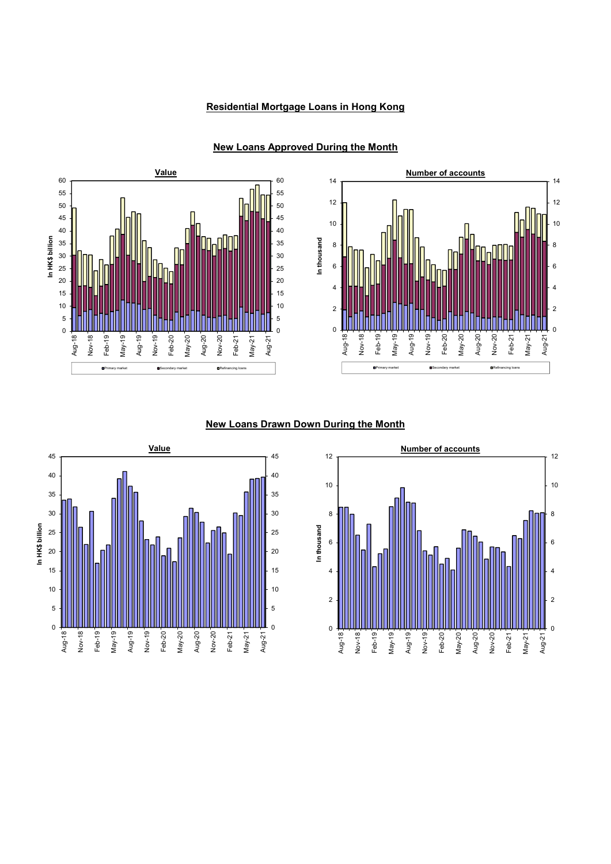### Residential Mortgage Loans in Hong Kong



## <u>Value</u> and the Number of accounts of a settential of a settential of a settential of a settential of a settential of  $\sim$ 60 60 14 14 <sup>12</sup> <sup>12</sup> <sup>50</sup> <sup>50</sup> 10 10 In thousand In thousand 8 6 4 4 10 10 2 2 0 0 0 0 May-21 Aug-21

6

8

Primary market Secondary market Refinancing loans

### New Loans Approved During the Month

#### New Loans Drawn Down During the Month